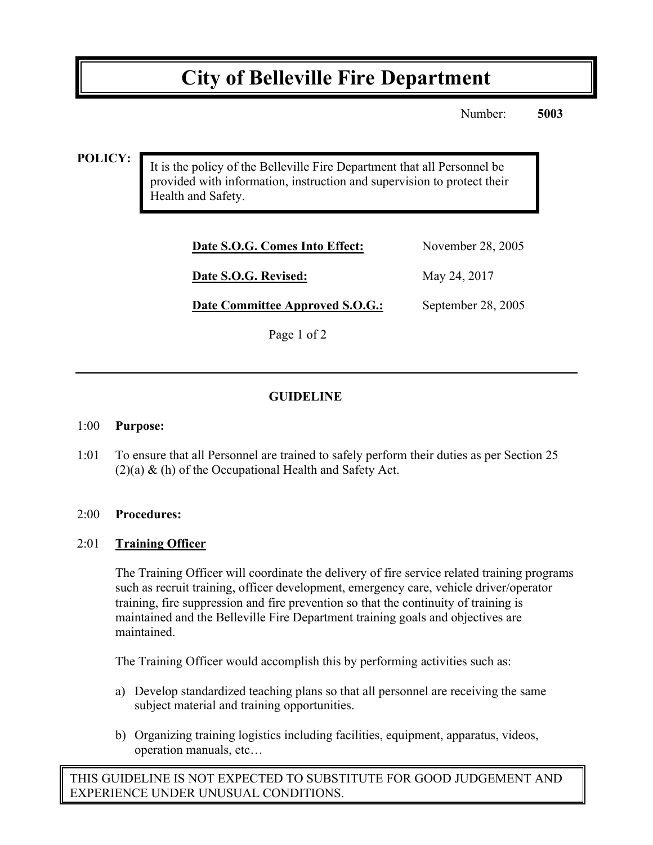# **City of Belleville Fire Department**

Number: **5003**

#### **POLICY:**

It is the policy of the Belleville Fire Department that all Personnel be provided with information, instruction and supervision to protect their Health and Safety.

| Date S.O.G. Comes Into Effect:  | November 28, 2005  |
|---------------------------------|--------------------|
| Date S.O.G. Revised:            | May 24, 2017       |
| Date Committee Approved S.O.G.: | September 28, 2005 |

Page 1 of 2

### **GUIDELINE**

#### 1:00 **Purpose:**

1:01 To ensure that all Personnel are trained to safely perform their duties as per Section 25  $(2)(a)$  & (h) of the Occupational Health and Safety Act.

#### 2:00 **Procedures:**

#### 2:01 **Training Officer**

The Training Officer will coordinate the delivery of fire service related training programs such as recruit training, officer development, emergency care, vehicle driver/operator training, fire suppression and fire prevention so that the continuity of training is maintained and the Belleville Fire Department training goals and objectives are maintained.

The Training Officer would accomplish this by performing activities such as:

- a) Develop standardized teaching plans so that all personnel are receiving the same subject material and training opportunities.
- b) Organizing training logistics including facilities, equipment, apparatus, videos, operation manuals, etc…

THIS GUIDELINE IS NOT EXPECTED TO SUBSTITUTE FOR GOOD JUDGEMENT AND EXPERIENCE UNDER UNUSUAL CONDITIONS.